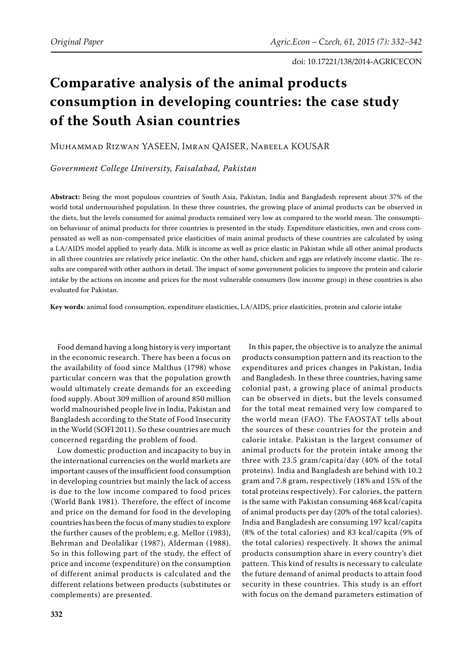# **C omparative analysis of the animal products consumption in developing countries: the case study of the South Asian countries**

Muhammad Rizwan YASEEN, Imran QAISER, Nabeela KOUSAR

*Government College University, Faisalabad, Pakistan*

**Abstract:** Being the most populous countries of South Asia, Pakistan, India and Bangladesh represent about 37% of the world total undernourished population. In these three countries, the growing place of animal products can be observed in the diets, but the levels consumed for animal products remained very low as compared to the world mean. The consumption behaviour of animal products for three countries is presented in the study. Expenditure elasticities, own and cross compensated as well as non-compensated price elasticities of main animal products of these countries are calculated by using a LA/AIDS model applied to yearly data. Milk is income as well as price elastic in Pakistan while all other animal products in all three countries are relatively price inelastic. On the other hand, chicken and eggs are relatively income elastic. The results are compared with other authors in detail. The impact of some government policies to improve the protein and calorie intake by the actions on income and prices for the most vulnerable consumers (low income group) in these countries is also evaluated for Pakistan.

**Key words**: animal food consumption, expenditure elasticities, LA/AIDS, price elasticities, protein and calorie intake

Food demand having a long history is very important in the economic research. There has been a focus on the availability of food since Malthus (1798) whose particular concern was that the population growth would ultimately create demands for an exceeding food supply. About 309 million of around 850 million world malnourished people live in India, Pakistan and Bangladesh according to the State of Food Insecurity in the World (SOFI 2011). So these countries are much concerned regarding the problem of food.

Low domestic production and incapacity to buy in the international currencies on the world markets are important causes of the insufficient food consumption in developing countries but mainly the lack of access is due to the low income compared to food prices (World Bank 1981). Therefore, the effect of income and price on the demand for food in the developing countries has been the focus of many studies to explore the further causes of the problem; e.g. Mellor (1983), Behrman and Deolalikar (1987), Alderman (1988). So in this following part of the study, the effect of price and income (expenditure) on the consumption of different animal products is calculated and the different relations between products (substitutes or complements) are presented.

In this paper, the objective is to analyze the animal products consumption pattern and its reaction to the expenditures and prices changes in Pakistan, India and Bangladesh. In these three countries, having same colonial past, a growing place of animal products can be observed in diets, but the levels consumed for the total meat remained very low compared to the world mean (FAO). The FAOSTAT tells about the sources of these countries for the protein and calorie intake. Pakistan is the largest consumer of animal products for the protein intake among the three with 23.5 gram/capita/day (40% of the total proteins). India and Bangladesh are behind with 10.2 gram and 7.8 gram, respectively (18% and 15% of the total proteins respectively). For calories, the pattern is the same with Pakistan consuming 468 kcal/capita of animal products per day (20% of the total calories). India and Bangladesh are consuming 197 kcal/capita (8% of the total calories) and 83 kcal/capita (9% of the total calories) respectively. It shows the animal products consumption share in every country's diet pattern. This kind of results is necessary to calculate the future demand of animal products to attain food security in these countries. This study is an effort with focus on the demand parameters estimation of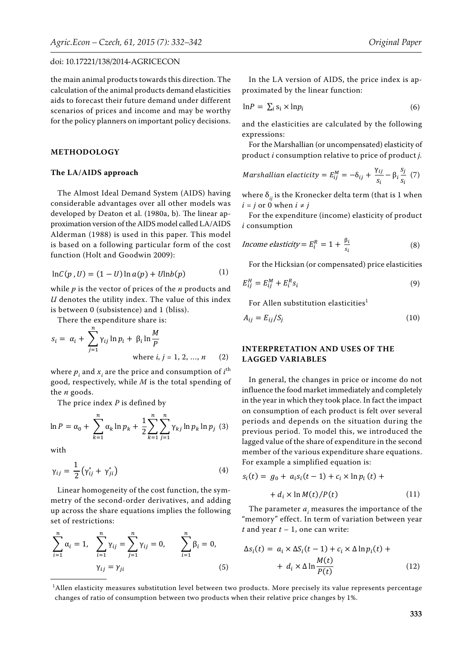the main animal products towards this direction. The calculation of the animal products demand elasticities aids to forecast their future demand under different scenarios of prices and income and may be worthy for the policy planners on important policy decisions.

# **METHODOLOGY**

## **The LA/AIDS approach**

The Almost Ideal Demand System (AIDS) having considerable advantages over all other models was developed by Deaton et al. (1980a, b). The linear approximation version of the AIDS model called LA/AIDS Alderman (1988) is used in this paper. This model is based on a following particular form of the cost function (Holt and Goodwin 2009):

$$
lnC(p, U) = (1 - U) ln a(p) + Unb(p)
$$
 (1)

while *p* is the vector of prices of the *n* products and *U* denotes the utility index. The value of this index is between 0 (subsistence) and 1 (bliss).

There the expenditure share is:

$$
s_{i} = \alpha_{i} + \sum_{j=1}^{n} \gamma_{ij} \ln p_{i} + \beta_{i} \ln \frac{M}{P}
$$
  
where *i*, *j* = 1, 2, ..., *n* (2)

where  $p_i$  and  $x_i$  are the price and consumption of  $i^{\text{th}}$ good, respectively, while *M* is the total spending of the *n* goods.

The price index *P* is defined by

$$
\ln P = \alpha_0 + \sum_{k=1}^{n} \alpha_k \ln p_k + \frac{1}{2} \sum_{k=1}^{n} \sum_{j=1}^{n} \gamma_{kj} \ln p_k \ln p_j \quad (3)
$$

with

$$
\gamma_{ij} = \frac{1}{2} \left( \gamma_{ij}^* + \gamma_{ji}^* \right) \tag{4}
$$

Linear homogeneity of the cost function, the symmetry of the second-order derivatives, and adding up across the share equations implies the following set of restrictions:

$$
\sum_{i=1}^{n} \alpha_i = 1, \quad \sum_{i=1}^{n} \gamma_{ij} = \sum_{j=1}^{n} \gamma_{ij} = 0, \qquad \sum_{i=1}^{n} \beta_i = 0, \qquad \gamma_{ij} = \gamma_{ji}
$$
 (5)

In the LA version of AIDS, the price index is approximated by the linear function:

$$
\ln P = \sum_{i} s_i \times \ln p_i \tag{6}
$$

and the elasticities are calculated by the following expressions:

For the Marshallian (or uncompensated) elasticity of product *i* consumption relative to price of product *j.*

$$
Marshallian \; elasticity = E_{ij}^{M} = -\delta_{ij} + \frac{\gamma_{ij}}{s_i} - \beta_i \frac{s_j}{s_i} \; (7)
$$

where  $\delta_{ii}$  is the Kronecker delta term (that is 1 when  $i = j$  or 0 when  $i \neq j$ 

For the expenditure (income) elasticity of product *i* consumption

$$
Income elasticity = E_i^R = 1 + \frac{\beta_i}{s_i}
$$
\n
$$
(8)
$$

For the Hicksian (or compensated) price elasticities

$$
E_{ij}^H = E_{ij}^M + E_i^R s_i \tag{9}
$$

For Allen substitution elasticities<sup>1</sup>

$$
A_{ij} = E_{ij}/S_j \tag{10}
$$

## **INTERPRETATION AND USES OF THE LAGGED VARIABLES**

In general, the changes in price or income do not influence the food market immediately and completely in the year in which they took place. In fact the impact on consumption of each product is felt over several periods and depends on the situation during the previous period. To model this, we introduced the lagged value of the share of expenditure in the second member of the various expenditure share equations. For example a simplified equation is:

$$
s_i(t) = g_0 + a_i s_i(t-1) + c_i \times \ln p_i(t) +
$$
  
+ 
$$
d_i \times \ln M(t) / P(t)
$$
 (11)

The parameter  $a_i$  measures the importance of the "memory" effect. In term of variation between year *t* and year  $t - 1$ , one can write:

$$
\Delta s_i(t) = a_i \times \Delta S_i(t-1) + c_i \times \Delta \ln p_i(t) + d_i \times \Delta \ln \frac{M(t)}{P(t)}
$$
\n(12)

<sup>1</sup> Allen elasticity measures substitution level between two products. More precisely its value represents percentage changes of ratio of consumption between two products when their relative price changes by 1%.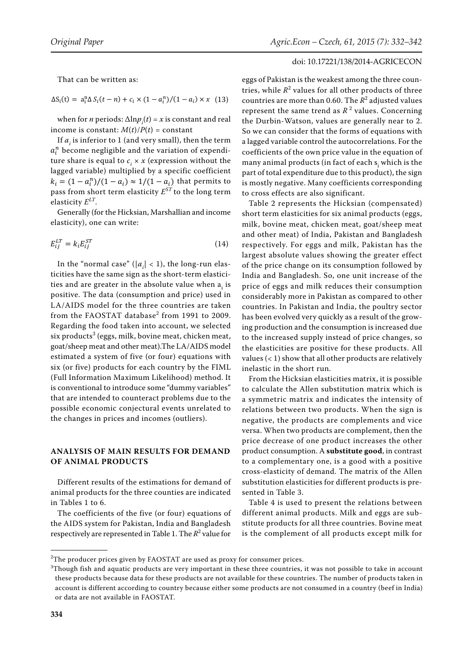That can be written as:

$$
\Delta S_i(t) = a_i^n \Delta S_i(t - n) + c_i \times (1 - a_i^n) / (1 - a_i) \times x \tag{13}
$$

when for *n* periods:  $Δlnp_i(t) = x$  is constant and real income is constant:  $M(t)/P(t) =$  constant

If  $a_i$  is inferior to 1 (and very small), then the term  $a_i^n$  become negligible and the variation of expenditure share is equal to  $c_i \times x$  (expression without the lagged variable) multiplied by a specific coefficient  $k_i = (1 - a_i^n)/(1 - a_i) \approx 1/(1 - a_i)$  that permits to pass from short term elasticity *EST* to the long term elasticity *ELT*.

Generally (for the Hicksian, Marshallian and income elasticity), one can write:

$$
E_{ij}^{LT} = k_i E_{ij}^{ST} \tag{14}
$$

In the "normal case" ( $|a_i| < 1$ ), the long-run elasticities have the same sign as the short-term elasticities and are greater in the absolute value when  $\mathbf{a}_\text{i}$  is positive. The data (consumption and price) used in LA/AIDS model for the three countries are taken from the FAOSTAT database<sup>2</sup> from 1991 to 2009. Regarding the food taken into account, we selected six products<sup>3</sup> (eggs, milk, bovine meat, chicken meat, goat/sheep meat and other meat).The LA/AIDS model estimated a system of five (or four) equations with six (or five) products for each country by the FIML (Full Information Maximum Likelihood) method. It is conventional to introduce some "dummy variables" that are intended to counteract problems due to the possible economic conjectural events unrelated to the changes in prices and incomes (outliers).

# **ANALYSIS OF MAIN RESULTS FOR DEMAND OF ANIMAL PRODUCTS**

Different results of the estimations for demand of animal products for the three counties are indicated in Tables 1 to 6.

The coefficients of the five (or four) equations of the AIDS system for Pakistan, India and Bangladesh respectively are represented in Table 1. The  $R^2$  value for

eggs of Pakistan is the weakest among the three countries, while  $R^2$  values for all other products of three countries are more than 0.60. The  $R^2$  adjusted values represent the same trend as  $R^2$  values. Concerning the Durbin-Watson, values are generally near to 2. So we can consider that the forms of equations with a lagged variable control the autocorrelations. For the coefficients of the own price value in the equation of many animal products (in fact of each  $\boldsymbol{s}_i$  which is the part of total expenditure due to this product), the sign is mostly negative. Many coefficients corresponding to cross effects are also significant.

Table 2 represents the Hicksian (compensated) short term elasticities for six animal products (eggs, milk, bovine meat, chicken meat, goat/sheep meat and other meat) of India, Pakistan and Bangladesh respectively. For eggs and milk, Pakistan has the largest absolute values showing the greater effect of the price change on its consumption followed by India and Bangladesh. So, one unit increase of the price of eggs and milk reduces their consumption considerably more in Pakistan as compared to other countries. In Pakistan and India, the poultry sector has been evolved very quickly as a result of the growing production and the consumption is increased due to the increased supply instead of price changes, so the elasticities are positive for these products. All values  $(< 1)$  show that all other products are relatively inelastic in the short run.

From the Hicksian elasticities matrix, it is possible to calculate the Allen substitution matrix which is a symmetric matrix and indicates the intensity of relations between two products. When the sign is negative, the products are complements and vice versa. When two products are complement, then the price decrease of one product increases the other product consumption. A **substitute good**, in contrast to a complementary one, is a good with a positive cross-elasticity of demand. The matrix of the Allen substitution elasticities for different products is presented in Table 3.

Table 4 is used to present the relations between different animal products. Milk and eggs are substitute products for all three countries. Bovine meat is the complement of all products except milk for

 $^{2}$ The producer prices given by FAOSTAT are used as proxy for consumer prices.

 $3$ Though fish and aquatic products are very important in these three countries, it was not possible to take in account these products because data for these products are not available for these countries. The number of products taken in account is different according to country because either some products are not consumed in a country (beef in India) or data are not available in FAOSTAT.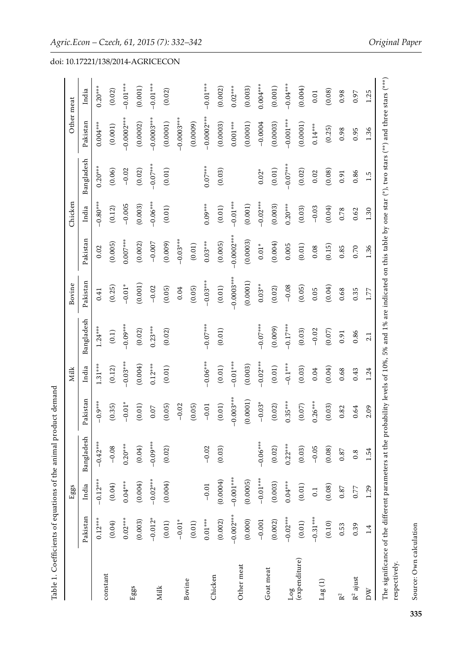|                |             | Eggs        |            |             | Milk                 |             | Bovine               |                          | Chicken    |            | Other meat            |            |
|----------------|-------------|-------------|------------|-------------|----------------------|-------------|----------------------|--------------------------|------------|------------|-----------------------|------------|
|                | Pakistan    | India       | Bangladesh | Pakistan    | India                | Bangladesh  | Pakistan             | Pakistan                 | India      | Bangladesh | Pakistan              | India      |
|                | $0.12***$   | $-0.12***$  | $-0.42***$ | $-0.9***$   | $1.31***$            | $1.24***$   | 0.41                 | 0.02                     | $-0.80***$ | $0.20***$  | $0.004***$            | $0.20***$  |
| constant       | (0.04)      | (0.04)      | $-0.08$    | (0.35)      | (0.12)               | $(0.1)$     | (0.25)               | (0.005)                  | (0.12)     | (0.06)     | $\left( 0.001\right)$ | (0.02)     |
|                | $0.02***$   | $0.04***$   | $0.20***$  | $-0.01*$    | $-0.03***$           | $-0.09***$  | $-0.01*$             | $0.007***$               | $-0.005$   | $-0.02$    | $-0.0002***$          | $-0.01***$ |
| Eggs           | (0.003)     | (0.004)     | (0.04)     | $(0.01)$    | (0.004)              | (0.02)      | (0.001)              | (0.002)                  | (0.003)    | (0.02)     | (0.0002)              | (0.001)    |
|                | $-0.012*$   | $-0.02***$  | $-0.09***$ | $0.07\,$    | $0.12***$            | $0.23***$   | $-0.02$              | $-0.007$                 | $-0.06***$ | $-0.07***$ | $-0.0003***$          | $-0.01***$ |
| Milk           | (0.01)      | (0.004)     | (0.02)     | (0.05)      | (0.01)               | (0.02)      | (0.05)               | (0.009)                  | $(0.01)$   | $(0.01)$   | (0.0001)              | (0.02)     |
|                | $-0.01*$    |             |            | $-0.02$     |                      |             | $0.04\,$             | $-0.03***$               |            |            | $-0.0003***$          |            |
| Bovine         | (0.01)      |             |            | (0.05)      |                      |             | (0.05)               | $\left( 0.01\right)$     |            |            | (0.0009)              |            |
|                | $0.01***$   | $-0.01$     | $-0.02$    | $-0.01$     | $-0.06***$           | $-0.07***$  | $-0.03***$           | $0.03***$                | $0.09***$  | $0.07***$  | $-0.0002***$          | $-0.01***$ |
| Chicken        | (0.002)     | (0.0004)    | (0.03)     | $(0.01)$    | $\left( 0.01\right)$ | (0.01)      | $\left( 0.01\right)$ | (0.005)                  | $(0.01)$   | (0.03)     | (0.0003)              | (0.002)    |
|                | $-0.002***$ | $-0.001***$ |            | $-0.003***$ | $-0.01***$           |             | $-0.0003***$         | $-0.0002***$             | $-0.01***$ |            | $0.001***$            | $0.02***$  |
| Other meat     | (0.000)     | (0.0005)    |            | (0.0001)    | (0.003)              |             | (0.0001)             | (0.0003)                 | $(0.001)$  |            | (0.0001)              | (0.003)    |
|                | $-0.001$    | $-0.01***$  | $-0.06***$ | $-0.03*$    | $-0.02***$           | $-0.07$ *** | $0.03***$            | $0.01\ensuremath{^\ast}$ | $-0.02***$ | $0.02*$    | $-0.0004$             | $0.004***$ |
| Goat meat      | (0.002)     | (0.003)     | (0.02)     | (0.02)      | $(0.01)$             | (0.009)     | (0.02)               | (0.004)                  | (0.003)    | $(0.01)$   | (0.0003)              | (0.001)    |
| Log            | $-0.02***$  | $0.04***$   | $0.22***$  | $0.35***$   | $-0.1***$            | $-0.17***$  | $-0.08$              | 0.005                    | $0.20***$  | $-0.07***$ | $-0.001***$           | $-0.04***$ |
| (expenditure)  | (0.01)      | $(0.01)$    | (0.03)     | $(0.07)$    | (0.03)               | (0.03)      | (0.05)               | (0.01)                   | (0.03)     | (0.02)     | (0.0001)              | (0.004)    |
|                | $-0.31***$  | $0.1\,$     | $-0.05$    | $0.26***$   | $0.04\,$             | $-0.02$     | $0.05\,$             | 0.08                     | $-0.03$    | $0.02\,$   | $0.14***$             | $0.01\,$   |
| Lag(1)         | (0.10)      | (0.08)      | (0.08)     | (0.03)      | (0.04)               | (0.07)      | (0.04)               | (0.15)                   | (0.04)     | (0.08)     | (0.25)                | (0.08)     |
| $\mathbb{R}^2$ | 0.53        | $0.87\,$    | $0.87\,$   | 0.82        | 0.68                 | 0.91        | 0.68                 | 0.85                     | 0.78       | 0.91       | 0.98                  | 0.98       |
| $R^2$ ajust    | 0.39        | 0.77        | 0.8        | 0.64        | 0.43                 | 0.86        | 0.35                 | 0.70                     | 0.62       | 0.86       | 0.95                  | 0.97       |
| УX             | 1.4         | 1.29        | 1.54       | 2.09        | 1.24                 | 2.1         | 1.77                 | 1.36                     | 1.30       | 1.5        | 1.36                  | 1.25       |

Source: Own calculation Source: Own calculation

**335**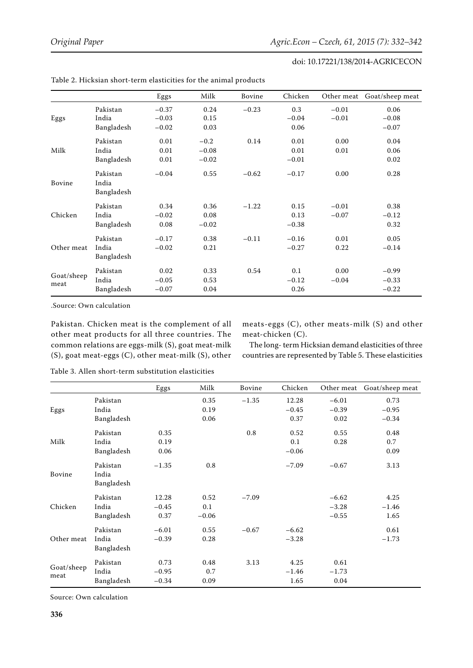|                    |                                 | Eggs    | Milk    | Bovine  | Chicken | Other meat | Goat/sheep meat |
|--------------------|---------------------------------|---------|---------|---------|---------|------------|-----------------|
|                    | Pakistan                        | $-0.37$ | 0.24    | $-0.23$ | 0.3     | $-0.01$    | 0.06            |
| Eggs               | India                           | $-0.03$ | 0.15    |         | $-0.04$ | $-0.01$    | $-0.08$         |
|                    | Bangladesh                      | $-0.02$ | 0.03    |         | 0.06    |            | $-0.07$         |
|                    | Pakistan                        | 0.01    | $-0.2$  | 0.14    | 0.01    | 0.00       | 0.04            |
| Milk               | India                           | 0.01    | $-0.08$ |         | 0.01    | 0.01       | 0.06            |
|                    | Bangladesh                      | 0.01    | $-0.02$ |         | $-0.01$ |            | 0.02            |
| Bovine             | Pakistan<br>India<br>Bangladesh | $-0.04$ | 0.55    | $-0.62$ | $-0.17$ | 0.00       | 0.28            |
| Chicken            | Pakistan                        | 0.34    | 0.36    | $-1.22$ | 0.15    | $-0.01$    | 0.38            |
|                    | India                           | $-0.02$ | 0.08    |         | 0.13    | $-0.07$    | $-0.12$         |
|                    | Bangladesh                      | 0.08    | $-0.02$ |         | $-0.38$ |            | 0.32            |
|                    | Pakistan                        | $-0.17$ | 0.38    | $-0.11$ | $-0.16$ | 0.01       | 0.05            |
| Other meat         | India                           | $-0.02$ | 0.21    |         | $-0.27$ | 0.22       | $-0.14$         |
|                    | Bangladesh                      |         |         |         |         |            |                 |
|                    | Pakistan                        | 0.02    | 0.33    | 0.54    | 0.1     | 0.00       | $-0.99$         |
| Goat/sheep<br>meat | India                           | $-0.05$ | 0.53    |         | $-0.12$ | $-0.04$    | $-0.33$         |
|                    | Bangladesh                      | $-0.07$ | 0.04    |         | 0.26    |            | $-0.22$         |

Table 2. Hicksian short-term elasticities for the animal products

.Source: Own calculation

Pakistan. Chicken meat is the complement of all other meat products for all three countries. The common relations are eggs-milk (S), goat meat-milk (S), goat meat-eggs (C), other meat-milk (S), other meats-eggs (C), other meats-milk (S) and other meat-chicken (C).

The long- term Hicksian demand elasticities of three countries are represented by Table 5. These elasticities

Table 3. Allen short-term substitution elasticities

|            |                                 | Eggs    | Milk    | Bovine  | Chicken | Other meat | Goat/sheep meat |
|------------|---------------------------------|---------|---------|---------|---------|------------|-----------------|
|            | Pakistan                        |         | 0.35    | $-1.35$ | 12.28   | $-6.01$    | 0.73            |
| Eggs       | India                           |         | 0.19    |         | $-0.45$ | $-0.39$    | $-0.95$         |
|            | Bangladesh                      |         | 0.06    |         | 0.37    | 0.02       | $-0.34$         |
|            | Pakistan                        | 0.35    |         | 0.8     | 0.52    | 0.55       | 0.48            |
| Milk       | India                           | 0.19    |         |         | 0.1     | 0.28       | 0.7             |
|            | Bangladesh                      | 0.06    |         |         | $-0.06$ |            | 0.09            |
| Bovine     | Pakistan<br>India<br>Bangladesh | $-1.35$ | 0.8     |         | $-7.09$ | $-0.67$    | 3.13            |
| Chicken    | Pakistan                        | 12.28   | 0.52    | $-7.09$ |         | $-6.62$    | 4.25            |
|            | India                           | $-0.45$ | 0.1     |         |         | $-3.28$    | $-1.46$         |
|            | Bangladesh                      | 0.37    | $-0.06$ |         |         | $-0.55$    | 1.65            |
|            | Pakistan                        | $-6.01$ | 0.55    | $-0.67$ | $-6.62$ |            | 0.61            |
| Other meat | India<br>Bangladesh             | $-0.39$ | 0.28    |         | $-3.28$ |            | $-1.73$         |
|            | Pakistan                        | 0.73    | 0.48    | 3.13    | 4.25    | 0.61       |                 |
| Goat/sheep | India                           | $-0.95$ | 0.7     |         | $-1.46$ | $-1.73$    |                 |
| meat       | Bangladesh                      | $-0.34$ | 0.09    |         | 1.65    | 0.04       |                 |

Source: Own calculation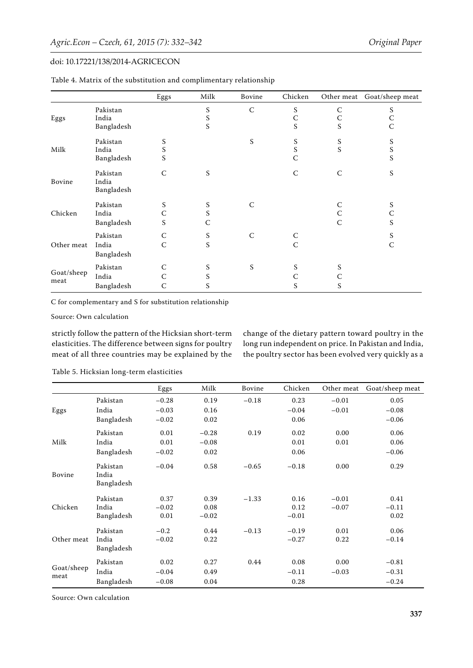|                    |                                 | Eggs                         | Milk                                          | Bovine                    | Chicken           |             | Other meat Goat/sheep meat |
|--------------------|---------------------------------|------------------------------|-----------------------------------------------|---------------------------|-------------------|-------------|----------------------------|
| Eggs               | Pakistan<br>India<br>Bangladesh |                              | S<br>$\mathbf S$<br>$\boldsymbol{\mathsf{S}}$ | $\mathsf{C}$              | S<br>C<br>S       | C<br>C<br>S | S<br>C<br>$\mathsf{C}$     |
| Milk               | Pakistan<br>India<br>Bangladesh | S<br>S<br>S                  |                                               | S                         | S<br>S<br>C       | S<br>S      | S<br>$\mathbf S$<br>S      |
| Bovine             | Pakistan<br>India<br>Bangladesh | C                            | S                                             |                           | C                 | C           | S                          |
| Chicken            | Pakistan<br>India<br>Bangladesh | S<br>$\overline{C}$<br>S     | S<br>S<br>C                                   | $\mathsf C$               |                   | C<br>C<br>C | S<br>C<br>S                |
| Other meat         | Pakistan<br>India<br>Bangladesh | $\mathsf{C}$<br>$\mathsf{C}$ | $\mathbf S$<br>$\boldsymbol{\mathsf{S}}$      | $\mathsf{C}$              | C<br>$\mathsf{C}$ |             | S<br>C                     |
| Goat/sheep<br>meat | Pakistan<br>India<br>Bangladesh | C<br>$\overline{C}$<br>C     | S<br>S<br>S                                   | $\boldsymbol{\mathsf{S}}$ | S<br>C<br>S       | S<br>C<br>S |                            |

Table 4. Matrix of the substitution and complimentary relationship

C for complementary and S for substitution relationship

Source: Own calculation

strictly follow the pattern of the Hicksian short-term elasticities. The difference between signs for poultry meat of all three countries may be explained by the change of the dietary pattern toward poultry in the long run independent on price. In Pakistan and India, the poultry sector has been evolved very quickly as a

Table 5. Hicksian long-term elasticities

|                    |                                 | Eggs    | Milk    | Bovine  | Chicken | Other meat | Goat/sheep meat |
|--------------------|---------------------------------|---------|---------|---------|---------|------------|-----------------|
|                    | Pakistan                        | $-0.28$ | 0.19    | $-0.18$ | 0.23    | $-0.01$    | 0.05            |
| Eggs               | India                           | $-0.03$ | 0.16    |         | $-0.04$ | $-0.01$    | $-0.08$         |
|                    | Bangladesh                      | $-0.02$ | 0.02    |         | 0.06    |            | $-0.06$         |
|                    | Pakistan                        | 0.01    | $-0.28$ | 0.19    | 0.02    | 0.00       | 0.06            |
| Milk               | India                           | 0.01    | $-0.08$ |         | 0.01    | 0.01       | 0.06            |
|                    | Bangladesh                      | $-0.02$ | 0.02    |         | 0.06    |            | $-0.06$         |
| Bovine             | Pakistan<br>India<br>Bangladesh | $-0.04$ | 0.58    | $-0.65$ | $-0.18$ | 0.00       | 0.29            |
| Chicken            | Pakistan                        | 0.37    | 0.39    | $-1.33$ | 0.16    | $-0.01$    | 0.41            |
|                    | India                           | $-0.02$ | 0.08    |         | 0.12    | $-0.07$    | $-0.11$         |
|                    | Bangladesh                      | 0.01    | $-0.02$ |         | $-0.01$ |            | 0.02            |
|                    | Pakistan                        | $-0.2$  | 0.44    | $-0.13$ | $-0.19$ | 0.01       | 0.06            |
| Other meat         | India                           | $-0.02$ | 0.22    |         | $-0.27$ | 0.22       | $-0.14$         |
|                    | Bangladesh                      |         |         |         |         |            |                 |
|                    | Pakistan                        | 0.02    | 0.27    | 0.44    | 0.08    | 0.00       | $-0.81$         |
| Goat/sheep<br>meat | India                           | $-0.04$ | 0.49    |         | $-0.11$ | $-0.03$    | $-0.31$         |
|                    | Bangladesh                      | $-0.08$ | 0.04    |         | 0.28    |            | $-0.24$         |

Source: Own calculation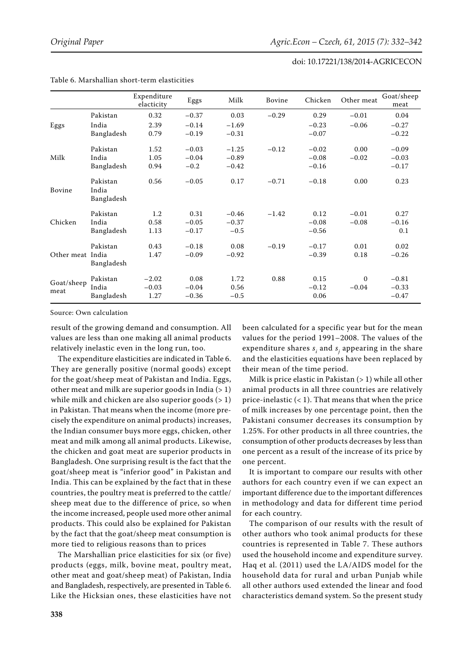|                  |                                 | Expenditure<br>elacticity | Eggs    | Milk    | Bovine  | Chicken | Other meat | Goat/sheep<br>meat |
|------------------|---------------------------------|---------------------------|---------|---------|---------|---------|------------|--------------------|
|                  | Pakistan                        | 0.32                      | $-0.37$ | 0.03    | $-0.29$ | 0.29    | $-0.01$    | 0.04               |
| Eggs             | India                           | 2.39                      | $-0.14$ | $-1.69$ |         | $-0.23$ | $-0.06$    | $-0.27$            |
|                  | Bangladesh                      | 0.79                      | $-0.19$ | $-0.31$ |         | $-0.07$ |            | $-0.22$            |
|                  | Pakistan                        | 1.52                      | $-0.03$ | $-1.25$ | $-0.12$ | $-0.02$ | 0.00       | $-0.09$            |
| Milk             | India                           | 1.05                      | $-0.04$ | $-0.89$ |         | $-0.08$ | $-0.02$    | $-0.03$            |
|                  | Bangladesh                      | 0.94                      | $-0.2$  | $-0.42$ |         | $-0.16$ |            | $-0.17$            |
| Bovine           | Pakistan<br>India<br>Bangladesh | 0.56                      | $-0.05$ | 0.17    | $-0.71$ | $-0.18$ | 0.00       | 0.23               |
|                  | Pakistan                        | 1.2                       | 0.31    | $-0.46$ | $-1.42$ | 0.12    | $-0.01$    | 0.27               |
| Chicken          | India                           | 0.58                      | $-0.05$ | $-0.37$ |         | $-0.08$ | $-0.08$    | $-0.16$            |
|                  | Bangladesh                      | 1.13                      | $-0.17$ | $-0.5$  |         | $-0.56$ |            | 0.1                |
|                  | Pakistan                        | 0.43                      | $-0.18$ | 0.08    | $-0.19$ | $-0.17$ | 0.01       | 0.02               |
| Other meat India |                                 | 1.47                      | $-0.09$ | $-0.92$ |         | $-0.39$ | 0.18       | $-0.26$            |
|                  | Bangladesh                      |                           |         |         |         |         |            |                    |
|                  | Pakistan                        | $-2.02$                   | 0.08    | 1.72    | 0.88    | 0.15    | $\Omega$   | $-0.81$            |
| Goat/sheep       | India                           | $-0.03$                   | $-0.04$ | 0.56    |         | $-0.12$ | $-0.04$    | $-0.33$            |
| meat             | Bangladesh                      | 1.27                      | $-0.36$ | $-0.5$  |         | 0.06    |            | $-0.47$            |

## Table 6. Marshallian short-term elasticities

#### Source: Own calculation

result of the growing demand and consumption. All values are less than one making all animal products relatively inelastic even in the long run, too.

The expenditure elasticities are indicated in Table 6. They are generally positive (normal goods) except for the goat/sheep meat of Pakistan and India. Eggs, other meat and milk are superior goods in India  $($  > 1) while milk and chicken are also superior goods  $($  > 1) in Pakistan. That means when the income (more precisely the expenditure on animal products) increases, the Indian consumer buys more eggs, chicken, other meat and milk among all animal products. Likewise, the chicken and goat meat are superior products in Bangladesh. One surprising result is the fact that the goat/sheep meat is "inferior good" in Pakistan and India. This can be explained by the fact that in these countries, the poultry meat is preferred to the cattle/ sheep meat due to the difference of price, so when the income increased, people used more other animal products. This could also be explained for Pakistan by the fact that the goat/sheep meat consumption is more tied to religious reasons than to prices

The Marshallian price elasticities for six (or five) products (eggs, milk, bovine meat, poultry meat, other meat and goat/sheep meat) of Pakistan, India and Bangladesh, respectively, are presented in Table 6. Like the Hicksian ones, these elasticities have not

been calculated for a specific year but for the mean values for the period 1991–2008. The values of the expenditure shares  $s_i$  and  $s_j$  appearing in the share and the elasticities equations have been replaced by their mean of the time period.

Milk is price elastic in Pakistan  $(> 1)$  while all other animal products in all three countries are relatively price-inelastic  $(< 1$ ). That means that when the price of milk increases by one percentage point, then the Pakistani consumer decreases its consumption by 1.25%. For other products in all three countries, the consumption of other products decreases by less than one percent as a result of the increase of its price by one percent.

It is important to compare our results with other authors for each country even if we can expect an important difference due to the important differences in methodology and data for different time period for each country.

The comparison of our results with the result of other authors who took animal products for these countries is represented in Table 7. These authors used the household income and expenditure survey. Haq et al. (2011) used the LA/AIDS model for the household data for rural and urban Punjab while all other authors used extended the linear and food characteristics demand system. So the present study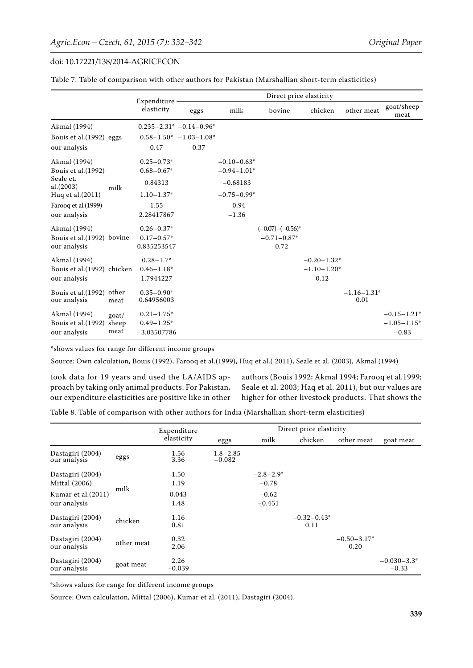|                            |       | Expenditure                      |                                 |                 | Direct price elasticity            |                 |                 |                    |
|----------------------------|-------|----------------------------------|---------------------------------|-----------------|------------------------------------|-----------------|-----------------|--------------------|
|                            |       | elasticity                       | eggs                            | milk            | bovine                             | chicken         | other meat      | goat/sheep<br>meat |
| Akmal (1994)               |       | $0.235 - 2.31^* - 0.14 - 0.96^*$ |                                 |                 |                                    |                 |                 |                    |
| Bouis et al.(1992) eggs    |       |                                  | $0.58 - 1.50^* - 1.03 - 1.08^*$ |                 |                                    |                 |                 |                    |
| our analysis               |       | 0.47                             | $-0.37$                         |                 |                                    |                 |                 |                    |
| Akmal (1994)               |       | $0.25 - 0.73*$                   |                                 | $-0.10 - 0.63*$ |                                    |                 |                 |                    |
| Bouis et al.(1992)         |       | $0.68 - 0.67*$                   |                                 | $-0.94 - 1.01*$ |                                    |                 |                 |                    |
| Seale et.<br>al.(2003)     | milk  | 0.84313                          |                                 | $-0.68183$      |                                    |                 |                 |                    |
| Huq et al.(2011)           |       | $1.10 - 1.37*$                   |                                 | $-0.75 - 0.99*$ |                                    |                 |                 |                    |
| Farooq et al.(1999)        |       | 1.55                             |                                 | $-0.94$         |                                    |                 |                 |                    |
| our analysis               |       | 2.28417867                       |                                 | $-1.36$         |                                    |                 |                 |                    |
| Akmal (1994)               |       | $0.26 - 0.37*$                   |                                 |                 | $(-0.07)$ - $(-0.56)$ <sup>*</sup> |                 |                 |                    |
| Bouis et al. (1992) bovine |       | $0.17 - 0.57*$                   |                                 |                 | $-0.71 - 0.87*$                    |                 |                 |                    |
| our analysis               |       | 0.835253547                      |                                 |                 | $-0.72$                            |                 |                 |                    |
| Akmal (1994)               |       | $0.28 - 1.7*$                    |                                 |                 |                                    | $-0.20 - 1.32*$ |                 |                    |
| Bouis et al.(1992) chicken |       | $0.46 - 1.18*$                   |                                 |                 |                                    | $-1.10 - 1.20*$ |                 |                    |
| our analysis               |       | 1.7944227                        |                                 |                 |                                    | 0.12            |                 |                    |
| Bouis et al.(1992) other   |       | $0.35 - 0.90*$                   |                                 |                 |                                    |                 | $-1.16 - 1.31*$ |                    |
| our analysis               | meat  | 0.64956003                       |                                 |                 |                                    |                 | 0.01            |                    |
| Akmal (1994)               | goat/ | $0.21 - 1.75*$                   |                                 |                 |                                    |                 |                 | $-0.15 - 1.21*$    |
| Bouis et al. (1992)        | sheep | $0.49 - 1.25*$                   |                                 |                 |                                    |                 |                 | $-1.05 - 1.15*$    |
| our analysis               | meat  | $-3.03507786$                    |                                 |                 |                                    |                 |                 | $-0.83$            |

Table 7. Table of comparison with other authors for Pakistan (Marshallian short-term elasticities)

\*shows values for range for different income groups

Source: Own calculation, Bouis (1992), Farooq et al.(1999), Huq et al.( 2011), Seale et al. (2003), Akmal (1994)

took data for 19 years and used the LA/AIDS approach by taking only animal products. For Pakistan, our expenditure elasticities are positive like in other authors (Bouis 1992; Akmal 1994; Farooq et al.1999; Seale et al. 2003; Haq et al. 2011), but our values are higher for other livestock products. That shows the

Table 8. Table of comparison with other authors for India (Marshallian short-term elasticities)

|                                    |            | Expenditure      |                           |                        | Direct price elasticity |                         |                            |
|------------------------------------|------------|------------------|---------------------------|------------------------|-------------------------|-------------------------|----------------------------|
|                                    |            | elasticity       | eggs                      | milk                   | chicken                 | other meat              | goat meat                  |
| Dastagiri (2004)<br>our analysis   | eggs       | 1.56<br>3.36     | $-1.8 - 2.85$<br>$-0.082$ |                        |                         |                         |                            |
| Dastagiri (2004)<br>Mittal (2006)  |            | 1.50<br>1.19     |                           | $-2.8-2.9*$<br>$-0.78$ |                         |                         |                            |
| Kumar et al.(2011)<br>our analysis | milk       | 0.043<br>1.48    |                           | $-0.62$<br>$-0.451$    |                         |                         |                            |
| Dastagiri (2004)<br>our analysis   | chicken    | 1.16<br>0.81     |                           |                        | $-0.32 - 0.43*$<br>0.11 |                         |                            |
| Dastagiri (2004)<br>our analysis   | other meat | 0.32<br>2.06     |                           |                        |                         | $-0.50 - 3.17*$<br>0.20 |                            |
| Dastagiri (2004)<br>our analysis   | goat meat  | 2.26<br>$-0.039$ |                           |                        |                         |                         | $-0.030 - 3.3*$<br>$-0.33$ |

\*shows values for range for different income groups

Source: Own calculation, Mittal (2006), Kumar et al. (2011), Dastagiri (2004).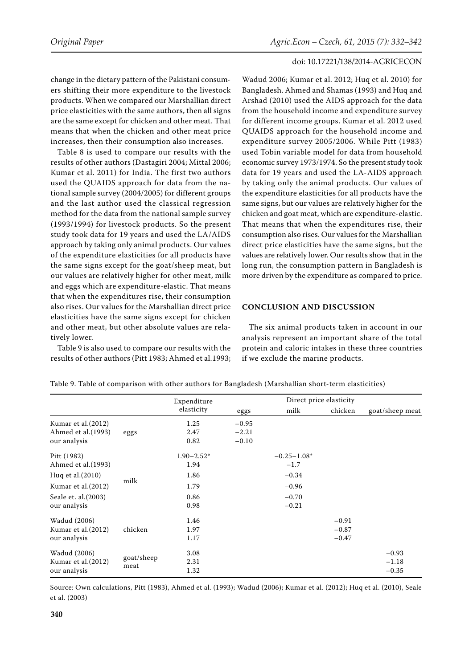change in the dietary pattern of the Pakistani consumers shifting their more expenditure to the livestock products. When we compared our Marshallian direct price elasticities with the same authors, then all signs are the same except for chicken and other meat. That means that when the chicken and other meat price increases, then their consumption also increases.

Table 8 is used to compare our results with the results of other authors (Dastagiri 2004; Mittal 2006; Kumar et al. 2011) for India. The first two authors used the QUAIDS approach for data from the national sample survey (2004/2005) for different groups and the last author used the classical regression method for the data from the national sample survey (1993/1994) for livestock products. So the present study took data for 19 years and used the LA/AIDS approach by taking only animal products. Our values of the expenditure elasticities for all products have the same signs except for the goat/sheep meat, but our values are relatively higher for other meat, milk and eggs which are expenditure-elastic. That means that when the expenditures rise, their consumption also rises. Our values for the Marshallian direct price elasticities have the same signs except for chicken and other meat, but other absolute values are relatively lower.

Table 9 is also used to compare our results with the results of other authors (Pitt 1983; Ahmed et al.1993;

Wadud 2006; Kumar et al. 2012; Huq et al. 2010) for Bangladesh. Ahmed and Shamas (1993) and Huq and Arshad (2010) used the AIDS approach for the data from the household income and expenditure survey for different income groups. Kumar et al. 2012 used QUAIDS approach for the household income and expenditure survey 2005/2006. While Pitt (1983) used Tobin variable model for data from household economic survey 1973/1974. So the present study took data for 19 years and used the LA-AIDS approach by taking only the animal products. Our values of the expenditure elasticities for all products have the same signs, but our values are relatively higher for the chicken and goat meat, which are expenditure-elastic. That means that when the expenditures rise, their consumption also rises. Our values for the Marshallian direct price elasticities have the same signs, but the values are relatively lower. Our results show that in the long run, the consumption pattern in Bangladesh is more driven by the expenditure as compared to price.

## **CONCLUSION AND DISCUSSION**

The six animal products taken in account in our analysis represent an important share of the total protein and caloric intakes in these three countries if we exclude the marine products.

|                      |            | Expenditure    |         | Direct price elasticity |         |                 |
|----------------------|------------|----------------|---------|-------------------------|---------|-----------------|
|                      |            | elasticity     | eggs    | milk                    | chicken | goat/sheep meat |
| Kumar et al. (2012)  |            | 1.25           | $-0.95$ |                         |         |                 |
| Ahmed et al. (1993)  | eggs       | 2.47           | $-2.21$ |                         |         |                 |
| our analysis         |            | 0.82           | $-0.10$ |                         |         |                 |
| Pitt (1982)          |            | $1.90 - 2.52*$ |         | $-0.25 - 1.08*$         |         |                 |
| Ahmed et al. (1993)  |            | 1.94           |         | $-1.7$                  |         |                 |
| Huq et al. (2010)    | milk       | 1.86           |         | $-0.34$                 |         |                 |
| Kumar et al. (2012)  |            | 1.79           |         | $-0.96$                 |         |                 |
| Seale et. al. (2003) |            | 0.86           |         | $-0.70$                 |         |                 |
| our analysis         |            | 0.98           |         | $-0.21$                 |         |                 |
| Wadud (2006)         |            | 1.46           |         |                         | $-0.91$ |                 |
| Kumar et al. (2012)  | chicken    | 1.97           |         |                         | $-0.87$ |                 |
| our analysis         |            | 1.17           |         |                         | $-0.47$ |                 |
| Wadud (2006)         |            | 3.08           |         |                         |         | $-0.93$         |
| Kumar et al. (2012)  | goat/sheep | 2.31           |         |                         |         | $-1.18$         |
| our analysis         | meat       | 1.32           |         |                         |         | $-0.35$         |

Table 9. Table of comparison with other authors for Bangladesh (Marshallian short-term elasticities)

Source: Own calculations, Pitt (1983), Ahmed et al. (1993); Wadud (2006); Kumar et al. (2012); Huq et al. (2010), Seale et al. (2003)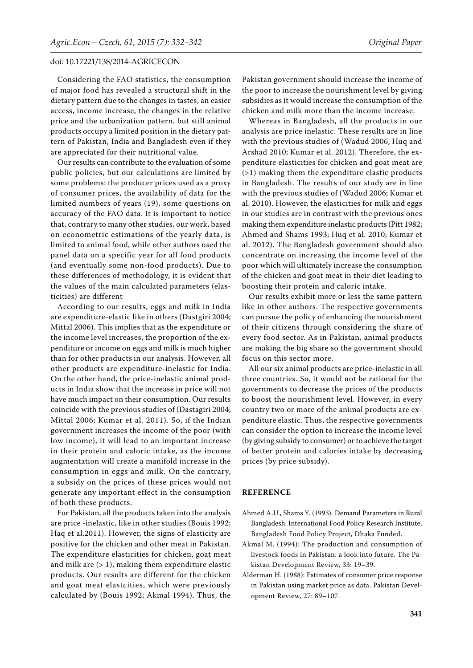Considering the FAO statistics, the consumption of major food has revealed a structural shift in the dietary pattern due to the changes in tastes, an easier access, income increase, the changes in the relative price and the urbanization pattern, but still animal products occupy a limited position in the dietary pattern of Pakistan, India and Bangladesh even if they are appreciated for their nutritional value.

Our results can contribute to the evaluation of some public policies, but our calculations are limited by some problems: the producer prices used as a proxy of consumer prices, the availability of data for the limited numbers of years (19), some questions on accuracy of the FAO data. It is important to notice that, contrary to many other studies, our work, based on econometric estimations of the yearly data, is limited to animal food, while other authors used the panel data on a specific year for all food products (and eventually some non-food products). Due to these differences of methodology, it is evident that the values of the main calculated parameters (elasticities) are different

According to our results, eggs and milk in India are expenditure-elastic like in others (Dastgiri 2004; Mittal 2006). This implies that as the expenditure or the income level increases, the proportion of the expenditure or income on eggs and milk is much higher than for other products in our analysis. However, all other products are expenditure-inelastic for India. On the other hand, the price-inelastic animal products in India show that the increase in price will not have much impact on their consumption. Our results coincide with the previous studies of (Dastagiri 2004; Mittal 2006; Kumar et al. 2011). So, if the Indian government increases the income of the poor (with low income), it will lead to an important increase in their protein and caloric intake, as the income augmentation will create a manifold increase in the consumption in eggs and milk. On the contrary, a subsidy on the prices of these prices would not generate any important effect in the consumption of both these products.

For Pakistan, all the products taken into the analysis are price -inelastic, like in other studies (Bouis 1992; Haq et al.2011). However, the signs of elasticity are positive for the chicken and other meat in Pakistan. The expenditure elasticities for chicken, goat meat and milk are  $(> 1)$ , making them expenditure elastic products. Our results are different for the chicken and goat meat elastcities, which were previously calculated by (Bouis 1992; Akmal 1994). Thus, the

Pakistan government should increase the income of the poor to increase the nourishment level by giving subsidies as it would increase the consumption of the chicken and milk more than the income increase.

Whereas in Bangladesh, all the products in our analysis are price inelastic. These results are in line with the previous studies of (Wadud 2006; Huq and Arshad 2010; Kumar et al. 2012). Therefore, the expenditure elasticities for chicken and goat meat are (>1) making them the expenditure elastic products in Bangladesh. The results of our study are in line with the previous studies of (Wadud 2006; Kumar et al. 2010). However, the elasticities for milk and eggs in our studies are in contrast with the previous ones making them expenditure inelastic products (Pitt 1982; Ahmed and Shams 1993; Huq et al. 2010; Kumar et al. 2012). The Bangladesh government should also concentrate on increasing the income level of the poor which will ultimately increase the consumption of the chicken and goat meat in their diet leading to boosting their protein and caloric intake.

Our results exhibit more or less the same pattern like in other authors. The respective governments can pursue the policy of enhancing the nourishment of their citizens through considering the share of every food sector. As in Pakistan, animal products are making the big share so the government should focus on this sector more.

All our six animal products are price-inelastic in all three countries. So, it would not be rational for the governments to decrease the prices of the products to boost the nourishment level. However, in every country two or more of the animal products are expenditure elastic. Thus, the respective governments can consider the option to increase the income level (by giving subsidy to consumer) or to achieve the target of better protein and calories intake by decreasing prices (by price subsidy).

## **REFERENCE**

- Ahmed A.U., Shams Y. (1993). Demand Parameters in Rural Bangladesh. International Food Policy Research Institute, Bangladesh Food Policy Project, Dhaka Funded.
- Akmal M. (1994): The production and consumption of livestock foods in Pakistan: a look into future. The Pakistan Development Review, 33: 19–39.
- Alderman H. (1988): Estimates of consumer price response in Pakistan using market price as data. Pakistan Development Review, 27: 89–107.